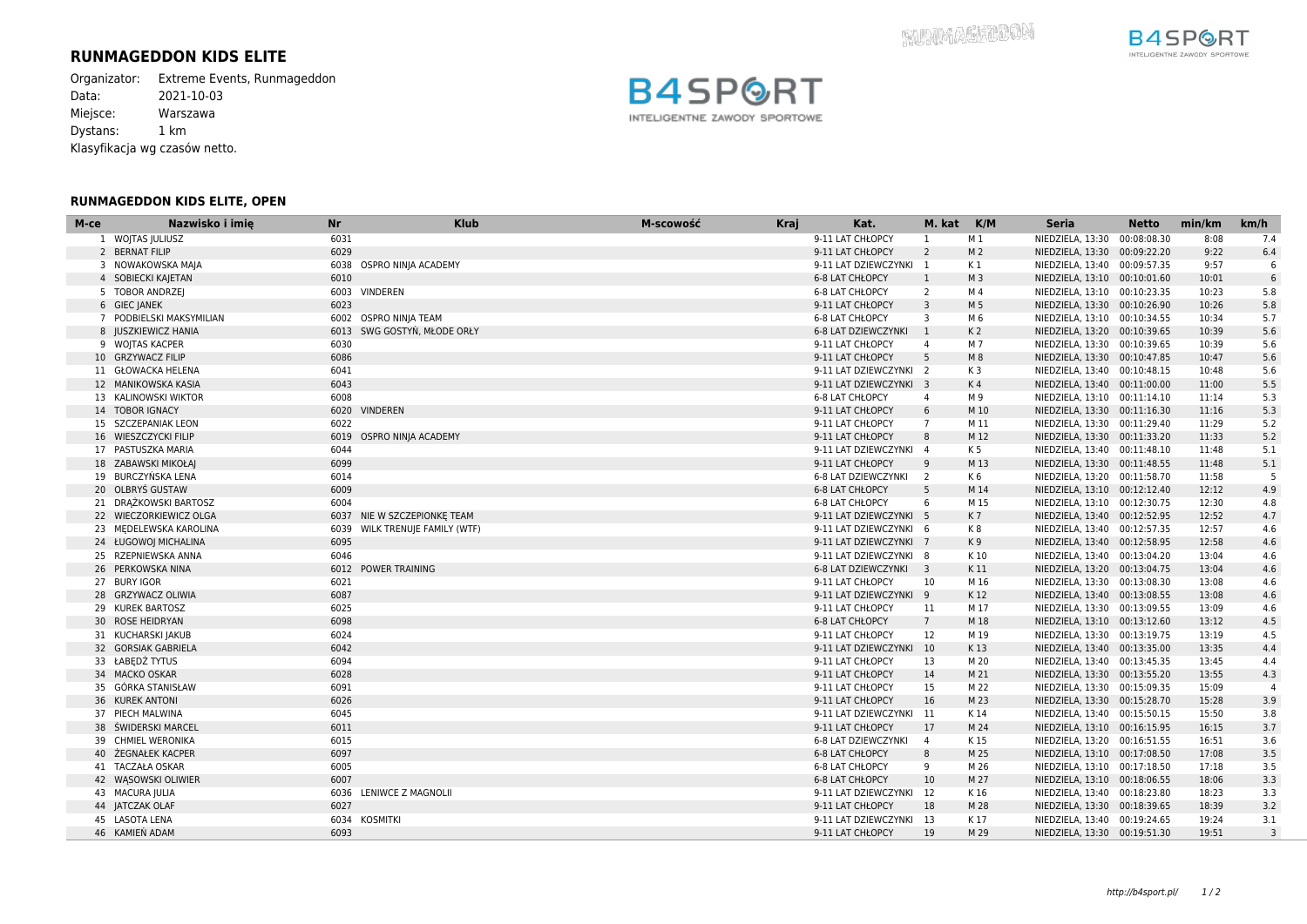## **RUNMAGEDDON KIDS ELITE**

Organizator: Extreme Events, Runmageddon<br>Data: 2021-10-03 Data: 2021-10-03 Miejsce: Warszawa Dystans: 1 km Klasyfikacja wg czasów netto.

## **RUNMAGEDDON KIDS ELITE, OPEN**





| M-ce | Nazwisko i imie                         | <b>Nr</b> | <b>Klub</b>                    | M-scowość | <b>Kraj</b> | Kat.                                        | M. kat          | K/M            | <b>Seria</b>                 | <b>Netto</b> | min/km | km/h           |
|------|-----------------------------------------|-----------|--------------------------------|-----------|-------------|---------------------------------------------|-----------------|----------------|------------------------------|--------------|--------|----------------|
|      | 1 WOJTAS JULIUSZ                        | 6031      |                                |           |             | 9-11 LAT CHŁOPCY                            | 1               | M 1            | NIEDZIELA, 13:30             | 00:08:08.30  | 8:08   | 7.4            |
|      | 2 BERNAT FILIP                          | 6029      |                                |           |             | 9-11 LAT CHŁOPCY                            | $\overline{2}$  | M <sub>2</sub> | NIEDZIELA, 13:30 00:09:22.20 |              | 9:22   | 6.4            |
|      | 3 NOWAKOWSKA MAJA                       |           | 6038 OSPRO NINJA ACADEMY       |           |             | 9-11 LAT DZIEWCZYNKI 1                      |                 | K 1            | NIEDZIELA, 13:40 00:09:57.35 |              | 9:57   | 6              |
|      | 4 SOBIECKI KAJETAN                      | 6010      |                                |           |             | 6-8 LAT CHŁOPCY                             | 1               | M 3            | NIEDZIELA, 13:10 00:10:01.60 |              | 10:01  | $\,$ 6 $\,$    |
|      | 5 TOBOR ANDRZEJ                         |           | 6003 VINDEREN                  |           |             | 6-8 LAT CHŁOPCY                             | 2               | M 4            | NIEDZIELA, 13:10 00:10:23.35 |              | 10:23  | 5.8            |
|      | 6 GIEC JANEK                            | 6023      |                                |           |             | 9-11 LAT CHŁOPCY                            | $\overline{3}$  | M 5            | NIEDZIELA, 13:30 00:10:26.90 |              | 10:26  | 5.8            |
|      | 7 PODBIELSKI MAKSYMILIAN                |           | 6002 OSPRO NINJA TEAM          |           |             | 6-8 LAT CHŁOPCY                             | $\overline{3}$  | M 6            | NIEDZIELA, 13:10 00:10:34.55 |              | 10:34  | 5.7            |
|      | 8 JUSZKIEWICZ HANIA                     |           | 6013 SWG GOSTYŃ, MŁODE ORŁY    |           |             | 6-8 LAT DZIEWCZYNKI 1                       |                 | K <sub>2</sub> | NIEDZIELA, 13:20 00:10:39.65 |              | 10:39  | 5.6            |
|      | 9 WOJTAS KACPER                         | 6030      |                                |           |             | 9-11 LAT CHŁOPCY                            | $\overline{4}$  | M 7            | NIEDZIELA, 13:30 00:10:39.65 |              | 10:39  | 5.6            |
|      | 10 GRZYWACZ FILIP                       | 6086      |                                |           |             | 9-11 LAT CHŁOPCY                            | 5               | M 8            | NIEDZIELA, 13:30 00:10:47.85 |              | 10:47  | 5.6            |
|      | 11 GŁOWACKA HELENA                      | 6041      |                                |           |             | 9-11 LAT DZIEWCZYNKI 2                      |                 | K3             | NIEDZIELA, 13:40 00:10:48.15 |              | 10:48  | 5.6            |
|      | 12 MANIKOWSKA KASIA                     | 6043      |                                |           |             | 9-11 LAT DZIEWCZYNKI 3                      |                 | K <sub>4</sub> | NIEDZIELA, 13:40 00:11:00.00 |              | 11:00  | 5.5            |
|      | 13 KALINOWSKI WIKTOR                    | 6008      |                                |           |             | 6-8 LAT CHŁOPCY                             | $\overline{4}$  | M 9            | NIEDZIELA, 13:10 00:11:14.10 |              | 11:14  | 5.3            |
|      | 14 TOBOR IGNACY                         |           | 6020 VINDEREN                  |           |             | 9-11 LAT CHŁOPCY                            | 6               | M 10           | NIEDZIELA, 13:30 00:11:16.30 |              | 11:16  | 5.3            |
|      | 15 SZCZEPANIAK LEON                     | 6022      |                                |           |             | 9-11 LAT CHŁOPCY                            | $\overline{7}$  | M 11           | NIEDZIELA, 13:30 00:11:29.40 |              | 11:29  | 5.2            |
|      | 16 WIESZCZYCKI FILIP                    |           | 6019 OSPRO NINJA ACADEMY       |           |             | 9-11 LAT CHŁOPCY                            | 8               | M 12           | NIEDZIELA, 13:30 00:11:33.20 |              | 11:33  | 5.2            |
|      | 17 PASTUSZKA MARIA                      | 6044      |                                |           |             | 9-11 LAT DZIEWCZYNKI 4                      |                 | K 5            | NIEDZIELA, 13:40 00:11:48.10 |              | 11:48  | 5.1            |
|      | 18 ZABAWSKI MIKOŁAJ                     | 6099      |                                |           |             | 9-11 LAT CHŁOPCY                            | 9               | M 13           | NIEDZIELA, 13:30 00:11:48.55 |              | 11:48  | 5.1            |
|      | 19 BURCZYŃSKA LENA                      | 6014      |                                |           |             | 6-8 LAT DZIEWCZYNKI 2                       |                 | K6             | NIEDZIELA, 13:20 00:11:58.70 |              | 11:58  | 5              |
|      | 20 OLBRYŚ GUSTAW                        | 6009      |                                |           |             | 6-8 LAT CHŁOPCY                             | 5               | M 14           | NIEDZIELA, 13:10 00:12:12.40 |              | 12:12  | 4.9            |
|      | 21 DRAŻKOWSKI BARTOSZ                   | 6004      |                                |           |             | 6-8 LAT CHŁOPCY                             | 6               | M 15           | NIEDZIELA, 13:10 00:12:30.75 |              | 12:30  | 4.8            |
|      | 22 WIECZORKIEWICZ OLGA                  |           | 6037 NIE W SZCZEPIONKĘ TEAM    |           |             | 9-11 LAT DZIEWCZYNKI 5                      |                 | K7             | NIEDZIELA, 13:40 00:12:52.95 |              | 12:52  | 4.7            |
|      | 23 MEDELEWSKA KAROLINA                  |           | 6039 WILK TRENUJE FAMILY (WTF) |           |             | 9-11 LAT DZIEWCZYNKI 6                      |                 | K8             | NIEDZIELA, 13:40 00:12:57.35 |              | 12:57  | 4.6            |
|      | 24 ŁUGOWOJ MICHALINA                    | 6095      |                                |           |             | 9-11 LAT DZIEWCZYNKI 7                      |                 | K9             | NIEDZIELA, 13:40 00:12:58.95 |              | 12:58  | 4.6            |
|      | 25 RZEPNIEWSKA ANNA                     | 6046      |                                |           |             | 9-11 LAT DZIEWCZYNKI 8                      |                 | K 10           | NIEDZIELA, 13:40 00:13:04.20 |              | 13:04  | 4.6            |
|      | 26 PERKOWSKA NINA                       |           | 6012 POWER TRAINING            |           |             | 6-8 LAT DZIEWCZYNKI 3                       |                 | K11            | NIEDZIELA, 13:20 00:13:04.75 |              | 13:04  | 4.6            |
|      | 27 BURY IGOR                            | 6021      |                                |           |             | 9-11 LAT CHŁOPCY                            | 10              | M 16           | NIEDZIELA, 13:30 00:13:08.30 |              | 13:08  | 4.6            |
|      | 28 GRZYWACZ OLIWIA                      | 6087      |                                |           |             | 9-11 LAT DZIEWCZYNKI 9                      |                 | K 12           | NIEDZIELA, 13:40 00:13:08.55 |              | 13:08  | 4.6            |
|      | 29 KUREK BARTOSZ                        | 6025      |                                |           |             | 9-11 LAT CHŁOPCY                            | 11              | M 17           | NIEDZIELA, 13:30 00:13:09.55 |              | 13:09  | 4.6            |
|      | 30 ROSE HEIDRYAN                        | 6098      |                                |           |             | <b>6-8 LAT CHŁOPCY</b>                      | $7\overline{ }$ | M 18           | NIEDZIELA, 13:10 00:13:12.60 |              | 13:12  | 4.5            |
|      | 31 KUCHARSKI JAKUB                      | 6024      |                                |           |             | 9-11 LAT CHŁOPCY                            | 12              | M 19           | NIEDZIELA, 13:30 00:13:19.75 |              | 13:19  | 4.5            |
|      | 32 GORSIAK GABRIELA                     | 6042      |                                |           |             | 9-11 LAT DZIEWCZYNKI 10                     |                 | K13            | NIEDZIELA, 13:40 00:13:35.00 |              | 13:35  | 4.4            |
|      | 33 ŁABEDŹ TYTUS                         | 6094      |                                |           |             | 9-11 LAT CHŁOPCY                            | 13              | M 20           | NIEDZIELA, 13:40 00:13:45.35 |              | 13:45  | 4.4            |
|      | 34 MACKO OSKAR                          | 6028      |                                |           |             | 9-11 LAT CHŁOPCY                            | 14              | M 21           | NIEDZIELA, 13:30 00:13:55.20 |              | 13:55  | 4.3            |
|      | 35 GÓRKA STANISŁAW                      | 6091      |                                |           |             | 9-11 LAT CHŁOPCY                            | 15              | M 22           | NIEDZIELA, 13:30 00:15:09.35 |              | 15:09  | $\overline{4}$ |
|      | 36 KUREK ANTONI                         | 6026      |                                |           |             |                                             | 16              | M 23           |                              |              | 15:28  | 3.9            |
|      |                                         | 6045      |                                |           |             | 9-11 LAT CHŁOPCY                            |                 |                | NIEDZIELA, 13:30 00:15:28.70 |              | 15:50  | 3.8            |
|      | 37 PIECH MALWINA<br>38 ŚWIDERSKI MARCEL | 6011      |                                |           |             | 9-11 LAT DZIEWCZYNKI 11<br>9-11 LAT CHŁOPCY | 17              | K 14<br>M 24   | NIEDZIELA, 13:40 00:15:50.15 |              | 16:15  | 3.7            |
|      | 39 CHMIEL WERONIKA                      | 6015      |                                |           |             |                                             | $\overline{4}$  | K 15           | NIEDZIELA, 13:10 00:16:15.95 |              | 16:51  | 3.6            |
|      | 40 ŻEGNAŁEK KACPER                      | 6097      |                                |           |             | 6-8 LAT DZIEWCZYNKI                         | 8               | M 25           | NIEDZIELA, 13:20 00:16:51.55 |              | 17:08  | 3.5            |
|      |                                         |           |                                |           |             | 6-8 LAT CHŁOPCY                             |                 |                | NIEDZIELA, 13:10 00:17:08.50 |              | 17:18  |                |
|      | 41 TACZAŁA OSKAR                        | 6005      |                                |           |             | 6-8 LAT CHŁOPCY                             | 9               | M 26           | NIEDZIELA, 13:10 00:17:18.50 |              |        | 3.5            |
|      | 42 WASOWSKI OLIWIER                     | 6007      |                                |           |             | 6-8 LAT CHŁOPCY                             | 10              | M 27           | NIEDZIELA, 13:10 00:18:06.55 |              | 18:06  | 3.3            |
|      | 43 MACURA JULIA                         |           | 6036 LENIWCE Z MAGNOLII        |           |             | 9-11 LAT DZIEWCZYNKI 12                     |                 | K 16           | NIEDZIELA, 13:40 00:18:23.80 |              | 18:23  | 3.3            |
|      | 44 JATCZAK OLAF                         | 6027      |                                |           |             | 9-11 LAT CHŁOPCY                            | 18              | M 28           | NIEDZIELA, 13:30 00:18:39.65 |              | 18:39  | 3.2            |
|      | 45 LASOTA LENA                          |           | 6034 KOSMITKI                  |           |             | 9-11 LAT DZIEWCZYNKI 13                     |                 | K 17           | NIEDZIELA, 13:40 00:19:24.65 |              | 19:24  | 3.1            |
|      | 46 KAMIEŃ ADAM                          | 6093      |                                |           |             | 9-11 LAT CHŁOPCY                            | 19              | M 29           | NIEDZIELA, 13:30 00:19:51.30 |              | 19:51  | $\overline{3}$ |